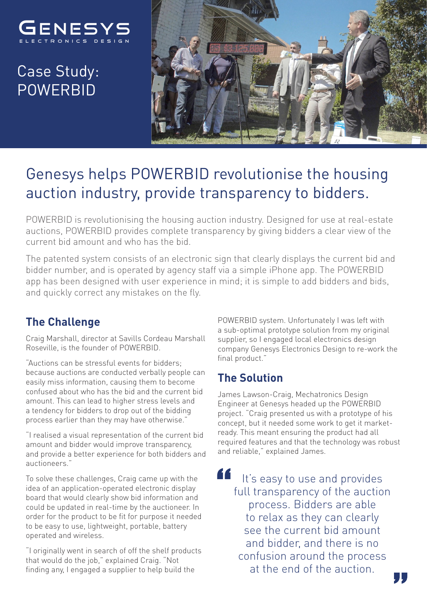

# Case Study: POWERBID



## Genesys helps POWERBID revolutionise the housing auction industry, provide transparency to bidders.

POWERBID is revolutionising the housing auction industry. Designed for use at real-estate auctions, POWERBID provides complete transparency by giving bidders a clear view of the current bid amount and who has the bid.

The patented system consists of an electronic sign that clearly displays the current bid and bidder number, and is operated by agency staff via a simple iPhone app. The POWERBID app has been designed with user experience in mind; it is simple to add bidders and bids, and quickly correct any mistakes on the fly.

### **The Challenge**

Craig Marshall, director at Savills Cordeau Marshall Roseville, is the founder of POWERBID.

"Auctions can be stressful events for bidders; because auctions are conducted verbally people can easily miss information, causing them to become confused about who has the bid and the current bid amount. This can lead to higher stress levels and a tendency for bidders to drop out of the bidding process earlier than they may have otherwise."

"I realised a visual representation of the current bid amount and bidder would improve transparency, and provide a better experience for both bidders and auctioneers."

To solve these challenges, Craig came up with the idea of an application-operated electronic display board that would clearly show bid information and could be updated in real-time by the auctioneer. In order for the product to be fit for purpose it needed to be easy to use, lightweight, portable, battery operated and wireless.

"I originally went in search of off the shelf products that would do the job," explained Craig. "Not finding any, I engaged a supplier to help build the

POWERBID system. Unfortunately I was left with a sub-optimal prototype solution from my original supplier, so I engaged local electronics design company Genesys Electronics Design to re-work the final product."

### **The Solution**

James Lawson-Craig, Mechatronics Design Engineer at Genesys headed up the POWERBID project. "Craig presented us with a prototype of his concept, but it needed some work to get it marketready. This meant ensuring the product had all required features and that the technology was robust and reliable," explained James.

66 It's easy to use and provides full transparency of the auction process. Bidders are able to relax as they can clearly see the current bid amount and bidder, and there is no confusion around the process at the end of the auction.